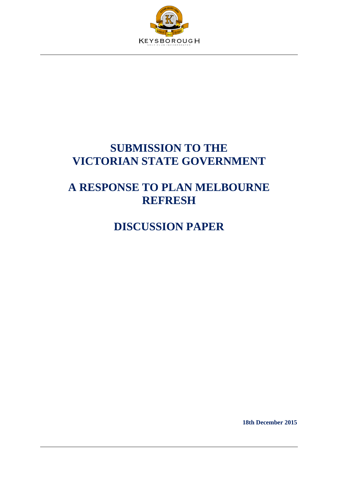

# **SUBMISSION TO THE VICTORIAN STATE GOVERNMENT**

# **A RESPONSE TO PLAN MELBOURNE REFRESH**

# **DISCUSSION PAPER**

**18th December 2015**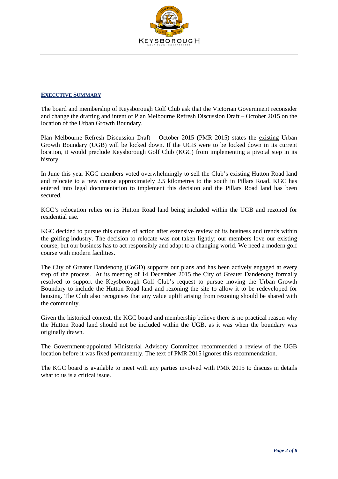

#### **EXECUTIVE SUMMARY**

The board and membership of Keysborough Golf Club ask that the Victorian Government reconsider and change the drafting and intent of Plan Melbourne Refresh Discussion Draft – October 2015 on the location of the Urban Growth Boundary.

Plan Melbourne Refresh Discussion Draft – October 2015 (PMR 2015) states the existing Urban Growth Boundary (UGB) will be locked down. If the UGB were to be locked down in its current location, it would preclude Keysborough Golf Club (KGC) from implementing a pivotal step in its history.

In June this year KGC members voted overwhelmingly to sell the Club's existing Hutton Road land and relocate to a new course approximately 2.5 kilometres to the south in Pillars Road. KGC has entered into legal documentation to implement this decision and the Pillars Road land has been secured.

KGC's relocation relies on its Hutton Road land being included within the UGB and rezoned for residential use.

KGC decided to pursue this course of action after extensive review of its business and trends within the golfing industry. The decision to relocate was not taken lightly; our members love our existing course, but our business has to act responsibly and adapt to a changing world. We need a modern golf course with modern facilities.

The City of Greater Dandenong (CoGD) supports our plans and has been actively engaged at every step of the process. At its meeting of 14 December 2015 the City of Greater Dandenong formally resolved to support the Keysborough Golf Club's request to pursue moving the Urban Growth Boundary to include the Hutton Road land and rezoning the site to allow it to be redeveloped for housing. The Club also recognises that any value uplift arising from rezoning should be shared with the community.

Given the historical context, the KGC board and membership believe there is no practical reason why the Hutton Road land should not be included within the UGB, as it was when the boundary was originally drawn.

The Government-appointed Ministerial Advisory Committee recommended a review of the UGB location before it was fixed permanently. The text of PMR 2015 ignores this recommendation.

The KGC board is available to meet with any parties involved with PMR 2015 to discuss in details what to us is a critical issue.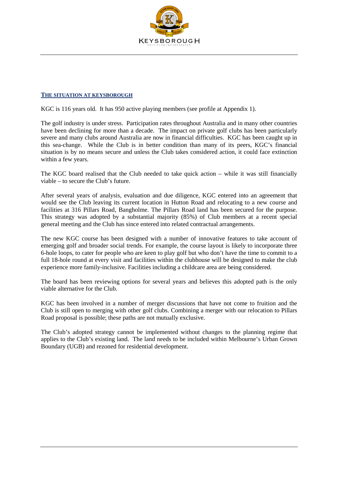

### **THE SITUATION AT KEYSBOROUGH**

KGC is 116 years old. It has 950 active playing members (see profile at Appendix 1).

The golf industry is under stress. Participation rates throughout Australia and in many other countries have been declining for more than a decade. The impact on private golf clubs has been particularly severe and many clubs around Australia are now in financial difficulties. KGC has been caught up in this sea-change. While the Club is in better condition than many of its peers, KGC's financial situation is by no means secure and unless the Club takes considered action, it could face extinction within a few years.

The KGC board realised that the Club needed to take quick action – while it was still financially viable – to secure the Club's future.

After several years of analysis, evaluation and due diligence, KGC entered into an agreement that would see the Club leaving its current location in Hutton Road and relocating to a new course and facilities at 316 Pillars Road, Bangholme. The Pillars Road land has been secured for the purpose. This strategy was adopted by a substantial majority (85%) of Club members at a recent special general meeting and the Club has since entered into related contractual arrangements.

The new KGC course has been designed with a number of innovative features to take account of emerging golf and broader social trends. For example, the course layout is likely to incorporate three 6-hole loops, to cater for people who are keen to play golf but who don't have the time to commit to a full 18-hole round at every visit and facilities within the clubhouse will be designed to make the club experience more family-inclusive. Facilities including a childcare area are being considered.

The board has been reviewing options for several years and believes this adopted path is the only viable alternative for the Club.

KGC has been involved in a number of merger discussions that have not come to fruition and the Club is still open to merging with other golf clubs. Combining a merger with our relocation to Pillars Road proposal is possible; these paths are not mutually exclusive.

The Club's adopted strategy cannot be implemented without changes to the planning regime that applies to the Club's existing land. The land needs to be included within Melbourne's Urban Grown Boundary (UGB) and rezoned for residential development.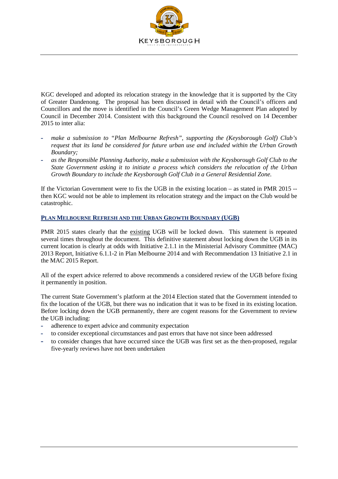

KGC developed and adopted its relocation strategy in the knowledge that it is supported by the City of Greater Dandenong. The proposal has been discussed in detail with the Council's officers and Councillors and the move is identified in the Council's Green Wedge Management Plan adopted by Council in December 2014. Consistent with this background the Council resolved on 14 December 2015 to inter alia:

- **-** *make a submission to "Plan Melbourne Refresh", supporting the (Keysborough Golf) Club's request that its land be considered for future urban use and included within the Urban Growth Boundary;*
- **-** *as the Responsible Planning Authority, make a submission with the Keysborough Golf Club to the State Government asking it to initiate a process which considers the relocation of the Urban Growth Boundary to include the Keysborough Golf Club in a General Residential Zone.*

If the Victorian Government were to fix the UGB in the existing location – as stated in PMR 2015 - then KGC would not be able to implement its relocation strategy and the impact on the Club would be catastrophic.

### **PLAN MELBOURNE REFRESH AND THE URBAN GROWTH BOUNDARY (UGB)**

PMR 2015 states clearly that the existing UGB will be locked down. This statement is repeated several times throughout the document. This definitive statement about locking down the UGB in its current location is clearly at odds with Initiative 2.1.1 in the Ministerial Advisory Committee (MAC) 2013 Report, Initiative 6.1.1-2 in Plan Melbourne 2014 and with Recommendation 13 Initiative 2.1 in the MAC 2015 Report.

All of the expert advice referred to above recommends a considered review of the UGB before fixing it permanently in position.

The current State Government's platform at the 2014 Election stated that the Government intended to fix the location of the UGB, but there was no indication that it was to be fixed in its existing location. Before locking down the UGB permanently, there are cogent reasons for the Government to review the UGB including:

- **-** adherence to expert advice and community expectation
- **-** to consider exceptional circumstances and past errors that have not since been addressed
- **-** to consider changes that have occurred since the UGB was first set as the then-proposed, regular five-yearly reviews have not been undertaken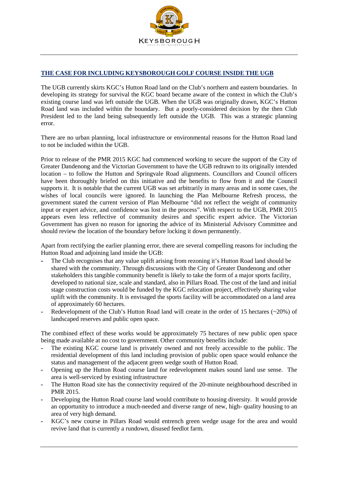

## **THE CASE FOR INCLUDING KEYSBOROUGH GOLF COURSE INSIDE THE UGB**

The UGB currently skirts KGC's Hutton Road land on the Club's northern and eastern boundaries. In developing its strategy for survival the KGC board became aware of the context in which the Club's existing course land was left outside the UGB. When the UGB was originally drawn, KGC's Hutton Road land was included within the boundary. But a poorly-considered decision by the then Club President led to the land being subsequently left outside the UGB. This was a strategic planning error.

There are no urban planning, local infrastructure or environmental reasons for the Hutton Road land to not be included within the UGB.

Prior to release of the PMR 2015 KGC had commenced working to secure the support of the City of Greater Dandenong and the Victorian Government to have the UGB redrawn to its originally intended location – to follow the Hutton and Springvale Road alignments. Councillors and Council officers have been thoroughly briefed on this initiative and the benefits to flow from it and the Council supports it. It is notable that the current UGB was set arbitrarily in many areas and in some cases, the wishes of local councils were ignored. In launching the Plan Melbourne Refresh process, the government stated the current version of Plan Melbourne "did not reflect the weight of community input or expert advice, and confidence was lost in the process". With respect to the UGB, PMR 2015 appears even less reflective of community desires and specific expert advice. The Victorian Government has given no reason for ignoring the advice of its Ministerial Advisory Committee and should review the location of the boundary before locking it down permanently.

Apart from rectifying the earlier planning error, there are several compelling reasons for including the Hutton Road and adjoining land inside the UGB:

- **-** The Club recognises that any value uplift arising from rezoning it's Hutton Road land should be shared with the community. Through discussions with the City of Greater Dandenong and other stakeholders this tangible community benefit is likely to take the form of a major sports facility, developed to national size, scale and standard, also in Pillars Road. The cost of the land and initial stage construction costs would be funded by the KGC relocation project, effectively sharing value uplift with the community. It is envisaged the sports facility will be accommodated on a land area of approximately 60 hectares.
- **-** Redevelopment of the Club's Hutton Road land will create in the order of 15 hectares (~20%) of landscaped reserves and public open space.

The combined effect of these works would be approximately 75 hectares of new public open space being made available at no cost to government. Other community benefits include:

- The existing KGC course land is privately owned and not freely accessible to the public. The residential development of this land including provision of public open space would enhance the status and management of the adjacent green wedge south of Hutton Road.
- **-** Opening up the Hutton Road course land for redevelopment makes sound land use sense. The area is well-serviced by existing infrastructure
- **-** The Hutton Road site has the connectivity required of the 20-minute neighbourhood described in PMR 2015.
- **-** Developing the Hutton Road course land would contribute to housing diversity. It would provide an opportunity to introduce a much-needed and diverse range of new, high- quality housing to an area of very high demand.
- **-** KGC's new course in Pillars Road would entrench green wedge usage for the area and would revive land that is currently a rundown, disused feedlot farm.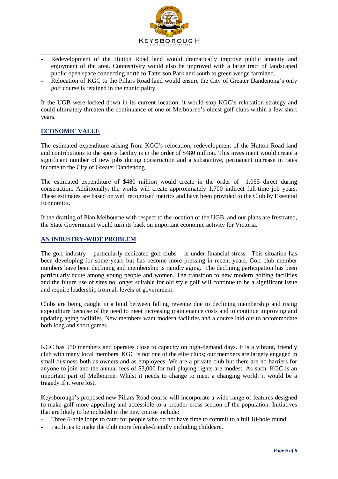

- **-** Redevelopment of the Hutton Road land would dramatically improve public amenity and enjoyment of the area. Connectivity would also be improved with a large tract of landscaped public open space connecting north to Tatterson Park and south to green wedge farmland.
- **-** Relocation of KGC to the Pillars Road land would ensure the City of Greater Dandenong's only golf course is retained in the municipality.

If the UGB were locked down in its current location, it would stop KGC's relocation strategy and could ultimately threaten the continuance of one of Melbourne's oldest golf clubs within a few short years.

## **ECONOMIC VALUE**

The estimated expenditure arising from KGC's relocation, redevelopment of the Hutton Road land and contributions to the sports facility is in the order of \$480 million. This investment would create a significant number of new jobs during construction and a substantive, permanent increase in rates income to the City of Greater Dandenong.

The estimated expenditure of \$480 million would create in the order of 1,065 direct during construction. Additionally, the works will create approximately 1,700 indirect full-time job years. These estimates are based on well recognised metrics and have been provided to the Club by Essential Economics.

If the drafting of Plan Melbourne with respect to the location of the UGB, and our plans are frustrated, the State Government would turn its back on important economic activity for Victoria.

#### **AN INDUSTRY-WIDE PROBLEM**

The golf industry – particularly dedicated golf clubs – is under financial stress. This situation has been developing for some years but has become more pressing in recent years. Golf club member numbers have been declining and membership is rapidly aging. The declining participation has been particularly acute among young people and women. The transition to new modern golfing facilities and the future use of sites no longer suitable for old style golf will continue to be a significant issue and require leadership from all levels of government.

Clubs are being caught in a bind between falling revenue due to declining membership and rising expenditure because of the need to meet increasing maintenance costs and to continue improving and updating aging facilities. New members want modern facilities and a course laid out to accommodate both long and short games.

KGC has 950 members and operates close to capacity on high-demand days. It is a vibrant, friendly club with many local members. KGC is not one of the elite clubs; our members are largely engaged in small business both as owners and as employees. We are a private club but there are no barriers for anyone to join and the annual fees of \$3,000 for full playing rights are modest. As such, KGC is an important part of Melbourne. Whilst it needs to change to meet a changing world, it would be a tragedy if it were lost.

Keysborough's proposed new Pillars Road course will incorporate a wide range of features designed to make golf more appealing and accessible to a broader cross-section of the population. Initiatives that are likely to be included in the new course include:

- **-** Three 6-hole loops to cater for people who do not have time to commit to a full 18-hole round.
- **-** Facilities to make the club more female-friendly including childcare.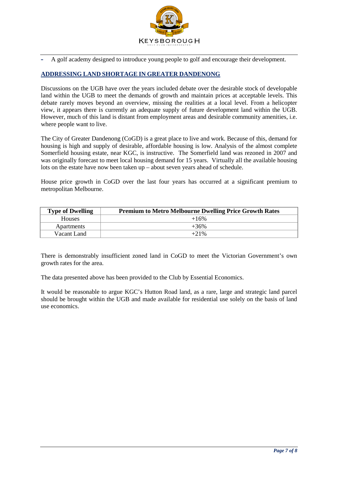

**-** A golf academy designed to introduce young people to golf and encourage their development.

## **ADDRESSING LAND SHORTAGE IN GREATER DANDENONG**

Discussions on the UGB have over the years included debate over the desirable stock of developable land within the UGB to meet the demands of growth and maintain prices at acceptable levels. This debate rarely moves beyond an overview, missing the realities at a local level. From a helicopter view, it appears there is currently an adequate supply of future development land within the UGB. However, much of this land is distant from employment areas and desirable community amenities, i.e. where people want to live.

The City of Greater Dandenong (CoGD) is a great place to live and work. Because of this, demand for housing is high and supply of desirable, affordable housing is low. Analysis of the almost complete Somerfield housing estate, near KGC, is instructive. The Somerfield land was rezoned in 2007 and was originally forecast to meet local housing demand for 15 years. Virtually all the available housing lots on the estate have now been taken up – about seven years ahead of schedule.

House price growth in CoGD over the last four years has occurred at a significant premium to metropolitan Melbourne.

| <b>Type of Dwelling</b> | <b>Premium to Metro Melbourne Dwelling Price Growth Rates</b> |
|-------------------------|---------------------------------------------------------------|
| <b>Houses</b>           | $+16%$                                                        |
| Apartments              | $+36%$                                                        |
| Vacant Land             | $+21\%$                                                       |

There is demonstrably insufficient zoned land in CoGD to meet the Victorian Government's own growth rates for the area.

The data presented above has been provided to the Club by Essential Economics.

It would be reasonable to argue KGC's Hutton Road land, as a rare, large and strategic land parcel should be brought within the UGB and made available for residential use solely on the basis of land use economics.